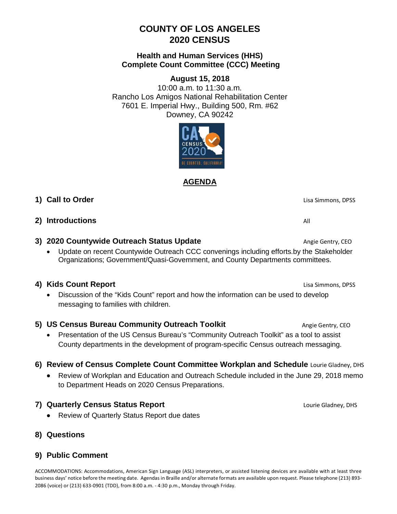# **COUNTY OF LOS ANGELES 2020 CENSUS**

#### **Health and Human Services (HHS) Complete Count Committee (CCC) Meeting**

## **August 15, 2018**

10:00 a.m. to 11:30 a.m. Rancho Los Amigos National Rehabilitation Center 7601 E. Imperial Hwy., Building 500, Rm. #62 Downey, CA 90242



**AGENDA**

## **1) Call to Order** Lisa Simmons, DPSS

#### **2)** Introductions All and the set of  $\mathbb{A}$  and  $\mathbb{A}$  and  $\mathbb{A}$  and  $\mathbb{A}$  and  $\mathbb{A}$  and  $\mathbb{A}$  and  $\mathbb{A}$  and  $\mathbb{A}$  and  $\mathbb{A}$  and  $\mathbb{A}$  and  $\mathbb{A}$  and  $\mathbb{A}$  and  $\mathbb{A}$  and  $\mathbb{A}$  and  $\$

## **3) 2020 Countywide Outreach Status Update** And Angie Gentry, CEO

• Update on recent Countywide Outreach CCC convenings including efforts.by the Stakeholder Organizations; Government/Quasi-Government, and County Departments committees.

## **4) Kids Count Report Lisa Simmons, DPSS**

• Discussion of the "Kids Count" report and how the information can be used to develop messaging to families with children.

## **5) US Census Bureau Community Outreach Toolkit Angie Gentry, CEO**

- Presentation of the US Census Bureau's "Community Outreach Toolkit" as a tool to assist County departments in the development of program-specific Census outreach messaging.
- **6) Review of Census Complete Count Committee Workplan and Schedule** Lourie Gladney, DHS
	- Review of Workplan and Education and Outreach Schedule included in the June 29, 2018 memo to Department Heads on 2020 Census Preparations.

#### **7) Quarterly Census Status Report Lourie Gladney, DHS Lourie Gladney, DHS**

- Review of Quarterly Status Report due dates
- **8) Questions**

#### **9) Public Comment**

ACCOMMODATIONS: Accommodations, American Sign Language (ASL) interpreters, or assisted listening devices are available with at least three business days' notice before the meeting date. Agendas in Braille and/or alternate formats are available upon request. Please telephone (213) 893- 2086 (voice) or (213) 633-0901 (TDD), from 8:00 a.m. - 4:30 p.m., Monday through Friday.